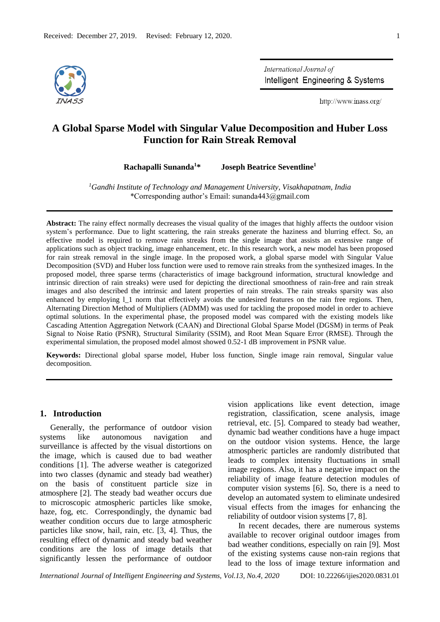

International Journal of Intelligent Engineering & Systems

http://www.inass.org/

# **A Global Sparse Model with Singular Value Decomposition and Huber Loss Function for Rain Streak Removal**

**Rachapalli Sunanda<sup>1</sup>\* Joseph Beatrice Seventline<sup>1</sup>**

*<sup>1</sup>Gandhi Institute of Technology and Management University, Visakhapatnam, India* \*Corresponding author's Email: sunanda443@gmail.com

**Abstract:** The rainy effect normally decreases the visual quality of the images that highly affects the outdoor vision system's performance. Due to light scattering, the rain streaks generate the haziness and blurring effect. So, an effective model is required to remove rain streaks from the single image that assists an extensive range of applications such as object tracking, image enhancement, etc. In this research work, a new model has been proposed for rain streak removal in the single image. In the proposed work, a global sparse model with Singular Value Decomposition (SVD) and Huber loss function were used to remove rain streaks from the synthesized images. In the proposed model, three sparse terms (characteristics of image background information, structural knowledge and intrinsic direction of rain streaks) were used for depicting the directional smoothness of rain-free and rain streak images and also described the intrinsic and latent properties of rain streaks. The rain streaks sparsity was also enhanced by employing l\_1 norm that effectively avoids the undesired features on the rain free regions. Then, Alternating Direction Method of Multipliers (ADMM) was used for tackling the proposed model in order to achieve optimal solutions. In the experimental phase, the proposed model was compared with the existing models like Cascading Attention Aggregation Network (CAAN) and Directional Global Sparse Model (DGSM) in terms of Peak Signal to Noise Ratio (PSNR), Structural Similarity (SSIM), and Root Mean Square Error (RMSE). Through the experimental simulation, the proposed model almost showed 0.52-1 dB improvement in PSNR value.

**Keywords:** Directional global sparse model, Huber loss function, Single image rain removal, Singular value decomposition.

### **1. Introduction**

Generally, the performance of outdoor vision systems like autonomous navigation and surveillance is affected by the visual distortions on the image, which is caused due to bad weather conditions [1]. The adverse weather is categorized into two classes (dynamic and steady bad weather) on the basis of constituent particle size in atmosphere [2]. The steady bad weather occurs due to microscopic atmospheric particles like smoke, haze, fog, etc. Correspondingly, the dynamic bad weather condition occurs due to large atmospheric particles like snow, hail, rain, etc. [3, 4]. Thus, the resulting effect of dynamic and steady bad weather conditions are the loss of image details that significantly lessen the performance of outdoor vision applications like event detection, image registration, classification, scene analysis, image retrieval, etc. [5]. Compared to steady bad weather, dynamic bad weather conditions have a huge impact on the outdoor vision systems. Hence, the large atmospheric particles are randomly distributed that leads to complex intensity fluctuations in small image regions. Also, it has a negative impact on the reliability of image feature detection modules of computer vision systems [6]. So, there is a need to develop an automated system to eliminate undesired visual effects from the images for enhancing the reliability of outdoor vision systems [7, 8].

In recent decades, there are numerous systems available to recover original outdoor images from bad weather conditions, especially on rain [9]. Most of the existing systems cause non-rain regions that lead to the loss of image texture information and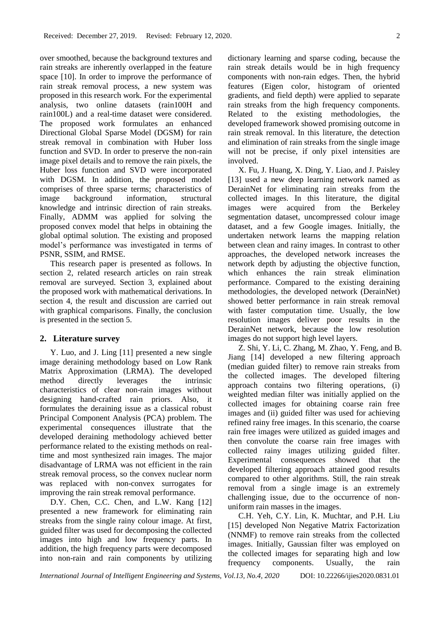over smoothed, because the background textures and rain streaks are inherently overlapped in the feature space [10]. In order to improve the performance of rain streak removal process, a new system was proposed in this research work. For the experimental analysis, two online datasets (rain100H and rain100L) and a real-time dataset were considered. The proposed work formulates an enhanced Directional Global Sparse Model (DGSM) for rain streak removal in combination with Huber loss function and SVD. In order to preserve the non-rain image pixel details and to remove the rain pixels, the Huber loss function and SVD were incorporated with DGSM. In addition, the proposed model comprises of three sparse terms; characteristics of image background information, structural knowledge and intrinsic direction of rain streaks. Finally, ADMM was applied for solving the proposed convex model that helps in obtaining the global optimal solution. The existing and proposed model's performance was investigated in terms of PSNR, SSIM, and RMSE.

This research paper is presented as follows. In section 2, related research articles on rain streak removal are surveyed. Section 3, explained about the proposed work with mathematical derivations. In section 4, the result and discussion are carried out with graphical comparisons. Finally, the conclusion is presented in the section 5.

## **2. Literature survey**

Y. Luo, and J. Ling [11] presented a new single image deraining methodology based on Low Rank Matrix Approximation (LRMA). The developed method directly leverages the intrinsic characteristics of clear non-rain images without designing hand-crafted rain priors. Also, it formulates the deraining issue as a classical robust Principal Component Analysis (PCA) problem. The experimental consequences illustrate that the developed deraining methodology achieved better performance related to the existing methods on realtime and most synthesized rain images. The major disadvantage of LRMA was not efficient in the rain streak removal process, so the convex nuclear norm was replaced with non-convex surrogates for improving the rain streak removal performance.

D.Y. Chen, C.C. Chen, and L.W. Kang [12] presented a new framework for eliminating rain streaks from the single rainy colour image. At first, guided filter was used for decomposing the collected images into high and low frequency parts. In addition, the high frequency parts were decomposed into non-rain and rain components by utilizing dictionary learning and sparse coding, because the rain streak details would be in high frequency components with non-rain edges. Then, the hybrid features (Eigen color, histogram of oriented gradients, and field depth) were applied to separate rain streaks from the high frequency components. Related to the existing methodologies, the developed framework showed promising outcome in rain streak removal. In this literature, the detection and elimination of rain streaks from the single image will not be precise, if only pixel intensities are involved.

X. Fu, J. Huang, X. Ding, Y. Liao, and J. Paisley [13] used a new deep learning network named as DerainNet for eliminating rain streaks from the collected images. In this literature, the digital images were acquired from the Berkeley segmentation dataset, uncompressed colour image dataset, and a few Google images. Initially, the undertaken network learns the mapping relation between clean and rainy images. In contrast to other approaches, the developed network increases the network depth by adjusting the objective function, which enhances the rain streak elimination performance. Compared to the existing deraining methodologies, the developed network (DerainNet) showed better performance in rain streak removal with faster computation time. Usually, the low resolution images deliver poor results in the DerainNet network, because the low resolution images do not support high level layers.

Z. Shi, Y. Li, C. Zhang, M. Zhao, Y. Feng, and B. Jiang [14] developed a new filtering approach (median guided filter) to remove rain streaks from the collected images. The developed filtering approach contains two filtering operations, (i) weighted median filter was initially applied on the collected images for obtaining coarse rain free images and (ii) guided filter was used for achieving refined rainy free images. In this scenario, the coarse rain free images were utilized as guided images and then convolute the coarse rain free images with collected rainy images utilizing guided filter. Experimental consequences showed that the developed filtering approach attained good results compared to other algorithms. Still, the rain streak removal from a single image is an extremely challenging issue, due to the occurrence of nonuniform rain masses in the images.

C.H. Yeh, C.Y. Lin, K. Muchtar, and P.H. Liu [15] developed Non Negative Matrix Factorization (NNMF) to remove rain streaks from the collected images. Initially, Gaussian filter was employed on the collected images for separating high and low frequency components. Usually, the rain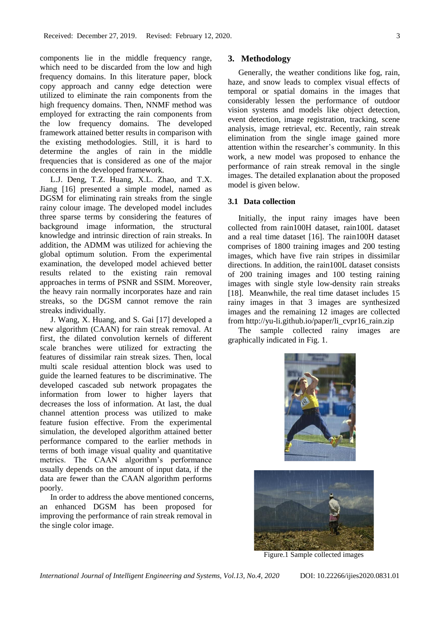components lie in the middle frequency range, which need to be discarded from the low and high frequency domains. In this literature paper, block copy approach and canny edge detection were utilized to eliminate the rain components from the high frequency domains. Then, NNMF method was employed for extracting the rain components from the low frequency domains. The developed framework attained better results in comparison with the existing methodologies. Still, it is hard to determine the angles of rain in the middle frequencies that is considered as one of the major concerns in the developed framework.

L.J. Deng, T.Z. Huang, X.L. Zhao, and T.X. Jiang [16] presented a simple model, named as DGSM for eliminating rain streaks from the single rainy colour image. The developed model includes three sparse terms by considering the features of background image information, the structural knowledge and intrinsic direction of rain streaks. In addition, the ADMM was utilized for achieving the global optimum solution. From the experimental examination, the developed model achieved better results related to the existing rain removal approaches in terms of PSNR and SSIM. Moreover, the heavy rain normally incorporates haze and rain streaks, so the DGSM cannot remove the rain streaks individually.

J. Wang, X. Huang, and S. Gai [17] developed a new algorithm (CAAN) for rain streak removal. At first, the dilated convolution kernels of different scale branches were utilized for extracting the features of dissimilar rain streak sizes. Then, local multi scale residual attention block was used to guide the learned features to be discriminative. The developed cascaded sub network propagates the information from lower to higher layers that decreases the loss of information. At last, the dual channel attention process was utilized to make feature fusion effective. From the experimental simulation, the developed algorithm attained better performance compared to the earlier methods in terms of both image visual quality and quantitative metrics. The CAAN algorithm's performance usually depends on the amount of input data, if the data are fewer than the CAAN algorithm performs poorly.

In order to address the above mentioned concerns, an enhanced DGSM has been proposed for improving the performance of rain streak removal in the single color image.

## **3. Methodology**

Generally, the weather conditions like fog, rain, haze, and snow leads to complex visual effects of temporal or spatial domains in the images that considerably lessen the performance of outdoor vision systems and models like object detection, event detection, image registration, tracking, scene analysis, image retrieval, etc. Recently, rain streak elimination from the single image gained more attention within the researcher's community. In this work, a new model was proposed to enhance the performance of rain streak removal in the single images. The detailed explanation about the proposed model is given below.

## **3.1 Data collection**

Initially, the input rainy images have been collected from rain100H dataset, rain100L dataset and a real time dataset [16]. The rain100H dataset comprises of 1800 training images and 200 testing images, which have five rain stripes in dissimilar directions. In addition, the rain100L dataset consists of 200 training images and 100 testing raining images with single style low-density rain streaks [18]. Meanwhile, the real time dataset includes 15 rainy images in that 3 images are synthesized images and the remaining 12 images are collected from http://yu-li.github.io/paper/li\_cvpr16\_rain.zip

The sample collected rainy images are graphically indicated in Fig. 1.



Figure.1 Sample collected images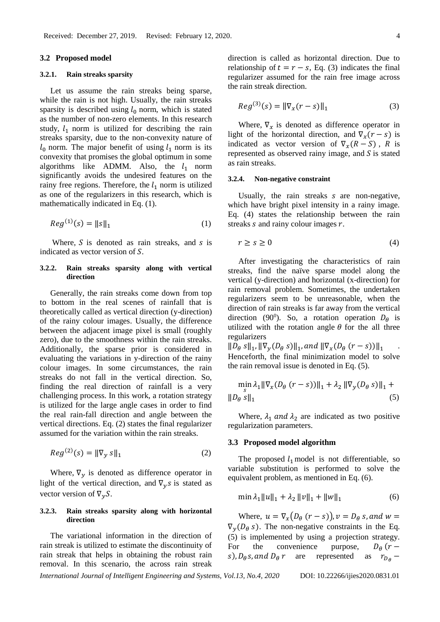### **3.2 Proposed model**

### **3.2.1. Rain streaks sparsity**

Let us assume the rain streaks being sparse, while the rain is not high. Usually, the rain streaks sparsity is described using  $l_0$  norm, which is stated as the number of non-zero elements. In this research study,  $l_1$  norm is utilized for describing the rain streaks sparsity, due to the non-convexity nature of  $l_0$  norm. The major benefit of using  $l_1$  norm is its convexity that promises the global optimum in some algorithms like ADMM. Also, the  $l_1$  norm significantly avoids the undesired features on the rainy free regions. Therefore, the  $l_1$  norm is utilized as one of the regularizers in this research, which is mathematically indicated in Eq. (1).

$$
Reg^{(1)}(s) = ||s||_1
$$
 (1)

Where,  $S$  is denoted as rain streaks, and  $S$  is indicated as vector version of  $S$ .

### **3.2.2. Rain streaks sparsity along with vertical direction**

Generally, the rain streaks come down from top to bottom in the real scenes of rainfall that is theoretically called as vertical direction (y-direction) of the rainy colour images. Usually, the difference between the adjacent image pixel is small (roughly zero), due to the smoothness within the rain streaks. Additionally, the sparse prior is considered in evaluating the variations in y-direction of the rainy colour images. In some circumstances, the rain streaks do not fall in the vertical direction. So, finding the real direction of rainfall is a very challenging process. In this work, a rotation strategy is utilized for the large angle cases in order to find the real rain-fall direction and angle between the vertical directions. Eq. (2) states the final regularizer assumed for the variation within the rain streaks.

$$
Reg^{(2)}(s) = ||\nabla_y s||_1
$$
 (2)

Where,  $\nabla$ <sub>v</sub> is denoted as difference operator in light of the vertical direction, and  $\nabla_{v} s$  is stated as vector version of  $\nabla_y S$ .

## **3.2.3. Rain streaks sparsity along with horizontal direction**

The variational information in the direction of rain streak is utilized to estimate the discontinuity of rain streak that helps in obtaining the robust rain removal. In this scenario, the across rain streak

direction is called as horizontal direction. Due to relationship of  $t = r - s$ , Eq. (3) indicates the final regularizer assumed for the rain free image across the rain streak direction.

$$
Reg^{(3)}(s) = ||\nabla_x(r - s)||_1
$$
 (3)

Where,  $\nabla_x$  is denoted as difference operator in light of the horizontal direction, and  $\nabla_x(r - s)$  is indicated as vector version of  $\nabla_{\mathbf{x}}(R - S)$ , R is represented as observed rainy image, and  $S$  is stated as rain streaks.

#### **3.2.4. Non-negative constraint**

Usually, the rain streaks s are non-negative, which have bright pixel intensity in a rainy image. Eq. (4) states the relationship between the rain streaks  $s$  and rainy colour images  $r$ .

$$
r \ge s \ge 0 \tag{4}
$$

After investigating the characteristics of rain streaks, find the naïve sparse model along the vertical (y-direction) and horizontal (x-direction) for rain removal problem. Sometimes, the undertaken regularizers seem to be unreasonable, when the direction of rain streaks is far away from the vertical direction (90<sup>0</sup>). So, a rotation operation  $D_{\theta}$  is utilized with the rotation angle  $\theta$  for the all three regularizers

 $\|D_{\theta} s\|_1$ ,  $\|\nabla_{\mathcal{Y}}(D_{\theta} s)\|_1$ , and  $\|\nabla_{\mathcal{X}}(D_{\theta} (r-s))\|_1$ Henceforth, the final minimization model to solve the rain removal issue is denoted in Eq. (5).

$$
\min_{S} \lambda_{1} \|\nabla_{x}(D_{\theta} (r - s))\|_{1} + \lambda_{2} \|\nabla_{y}(D_{\theta} s)\|_{1} + \|D_{\theta} s\|_{1}
$$
\n(5)

Where,  $\lambda_1$  and  $\lambda_2$  are indicated as two positive regularization parameters.

## **3.3 Proposed model algorithm**

The proposed  $l_1$  model is not differentiable, so variable substitution is performed to solve the equivalent problem, as mentioned in Eq. (6).

$$
\min \lambda_1 \|u\|_1 + \lambda_2 \|v\|_1 + \|w\|_1 \tag{6}
$$

Where,  $u = \nabla_x (D_\theta (r - s))$ ,  $v = D_\theta s$ , and  $w =$  $\nabla_{\mathbf{v}}(D_{\theta} s)$ . The non-negative constraints in the Eq. (5) is implemented by using a projection strategy. For the convenience purpose,  $D_{\theta}$  (r – s),  $D_{\theta} s$ , and  $D_{\theta} r$  are represented as  $r_{D_{\theta}} -$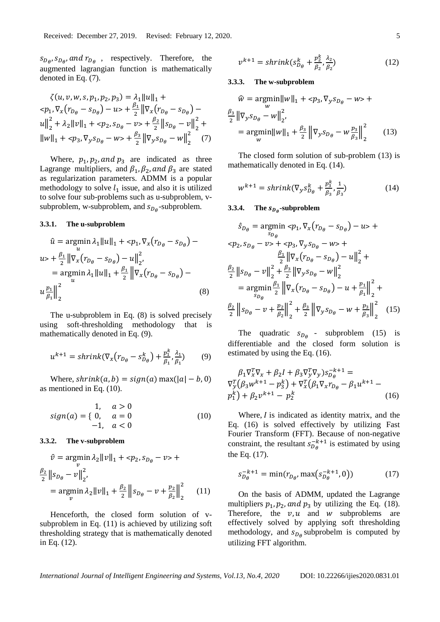$s_{D_\theta}, s_{D_\theta},$  and  $r_{D_\theta}$ , respectively. Therefore, the augmented lagrangian function is mathematically denoted in Eq. (7).

$$
\zeta(u, v, w, s, p_1, p_2, p_3) = \lambda_1 ||u||_1 +
$$
  
\n
$$
\langle p_1, \nabla_x (r_{D_\theta} - s_{D_\theta}) - u \rangle + \frac{\beta_1}{2} ||\nabla_x (r_{D_\theta} - s_{D_\theta}) -
$$
  
\n
$$
u||_2^2 + \lambda_2 ||v||_1 + \langle p_2, s_{D_\theta} - v \rangle + \frac{\beta_2}{2} ||s_{D_\theta} - v||_2^2 +
$$
  
\n
$$
||w||_1 + \langle p_3, \nabla_y s_{D_\theta} - w \rangle + \frac{\beta_3}{2} ||\nabla_y s_{D_\theta} - w||_2^2 \tag{7}
$$

Where,  $p_1$ ,  $p_2$ , and  $p_3$  are indicated as three Lagrange multipliers, and  $\beta_1$ ,  $\beta_2$ , and  $\beta_3$  are stated as regularization parameters. ADMM is a popular methodology to solve  $l_1$  issue, and also it is utilized to solve four sub-problems such as u-subproblem, vsubproblem, w-subproblem, and  $s_{D_\theta}$ -subproblem.

#### **3.3.1. The u-subproblem**

$$
\hat{u} = \underset{u}{\text{argmin}} \lambda_1 ||u||_1 + \langle p_1, \nabla_x (r_{D_\theta} - s_{D_\theta}) - u \rangle
$$
  
\n
$$
u > + \frac{\beta_1}{2} ||\nabla_x (r_{D_\theta} - s_{D_\theta}) - u||_2^2,
$$
  
\n
$$
= \underset{u}{\text{argmin}} \lambda_1 ||u||_1 + \frac{\beta_1}{2} ||\nabla_x (r_{D_\theta} - s_{D_\theta}) - u \rangle
$$
  
\n
$$
u \frac{p_1}{\beta_1} ||_2^2
$$
\n(8)

The u-subproblem in Eq. (8) is solved precisely using soft-thresholding methodology that is mathematically denoted in Eq. (9).

$$
u^{k+1} = shrink(\nabla_x (r_{D_\theta} - s_{D_\theta}^k) + \frac{p_1^k}{\beta_1}, \frac{\lambda_1}{\beta_1})
$$
(9)

Where,  $shrink(a, b) = sign(a) \max(|a| - b, 0)$ as mentioned in Eq. (10).

$$
sign(a) = \begin{cases} 1, & a > 0 \\ 0, & a = 0 \end{cases}
$$
 (10)

### **3.3.2. The v-subproblem**

$$
\hat{v} = \underset{v}{\text{argmin}} \lambda_2 ||v||_1 + \langle p_2, s_{D_\theta} - v \rangle +
$$
  

$$
\frac{\beta_2}{2} ||s_{D_\theta} - v||_2^2,
$$
  

$$
= \underset{v}{\text{argmin}} \lambda_2 ||v||_1 + \frac{\beta_2}{2} ||s_{D_\theta} - v + \frac{p_2}{\beta_2}||_2^2
$$
 (11)

Henceforth, the closed form solution of vsubproblem in Eq. (11) is achieved by utilizing soft thresholding strategy that is mathematically denoted in Eq. (12).

$$
v^{k+1} = shrink(s_{D_{\theta}}^k + \frac{p_2^k}{\beta_2}, \frac{\lambda_2}{\beta_2})
$$
 (12)

#### **3.3.3. The w-subproblem**

$$
\hat{w} = \underset{w}{\text{argmin}} ||w||_1 + \langle p_3, \nabla_y s_{D_\theta} - w \rangle +
$$
  

$$
\frac{\beta_3}{2} ||\nabla_y s_{D_\theta} - w||_2^2,
$$
  

$$
= \underset{w}{\text{argmin}} ||w||_1 + \frac{\beta_3}{2} ||\nabla_y s_{D_\theta} - w \frac{p_3}{\beta_3}||_2^2
$$
(13)

The closed form solution of sub-problem (13) is mathematically denoted in Eq. (14).

$$
w^{k+1} = shrink(\nabla_y s_{D_\theta}^k + \frac{p_s^k}{\beta_s}, \frac{1}{\beta_s})
$$
\n(14)

## **3.3.4.** The  $s_{D_\theta}$ -subproblem

$$
\hat{s}_{D_{\theta}} = \underset{s_{D_{\theta}}}{\operatorname{argmin}} \langle p_{1}, \nabla_{x} (r_{D_{\theta}} - s_{D_{\theta}}) - u \rangle +
$$
  
\n
$$
\langle p_{2}, s_{D_{\theta}} - v \rangle + \langle p_{3}, \nabla_{y} s_{D_{\theta}} - w \rangle +
$$
  
\n
$$
\frac{\beta_{1}}{2} || \nabla_{x} (r_{D_{\theta}} - s_{D_{\theta}}) - u ||_{2}^{2} +
$$
  
\n
$$
\frac{\beta_{2}}{2} || s_{D_{\theta}} - v ||_{2}^{2} + \frac{\beta_{3}}{2} || \nabla_{y} s_{D_{\theta}} - w ||_{2}^{2}
$$
  
\n
$$
= \underset{s_{D_{\theta}}}{\operatorname{argmin}} \frac{\beta_{1}}{2} || \nabla_{x} (r_{D_{\theta}} - s_{D_{\theta}}) - u + \frac{p_{1}}{\beta_{1}} ||_{2}^{2} +
$$
  
\n
$$
\frac{\beta_{2}}{2} || s_{D_{\theta}} - v + \frac{p_{2}}{\beta_{2}} ||_{2}^{2} + \frac{\beta_{3}}{2} || \nabla_{y} s_{D_{\theta}} - w + \frac{p_{3}}{\beta_{3}} ||_{2}^{2} \quad (15)
$$

The quadratic  $s_{D_\theta}$  - subproblem (15) is differentiable and the closed form solution is estimated by using the Eq. (16).

$$
\beta_1 \nabla_x^T \nabla_x + \beta_2 I + \beta_3 \nabla_y^T \nabla_y) s_{D_\theta}^{-k+1} =
$$
  
\n
$$
\nabla_y^T (\beta_3 w^{k+1} - p_3^k) + \nabla_x^T (\beta_1 \nabla_x r_{D_\theta} - \beta_1 u^{k+1} -
$$
  
\n
$$
p_1^k) + \beta_2 v^{k+1} - p_2^k
$$
\n(16)

Where,  $I$  is indicated as identity matrix, and the Eq. (16) is solved effectively by utilizing Fast Fourier Transform (FFT). Because of non-negative constraint, the resultant  $s_{D_\theta}^{-k+1}$  is estimated by using the Eq. (17).

$$
s_{D_{\theta}}^{-k+1} = \min(r_{D_{\theta}}, \max(s_{D_{\theta}}^{-k+1}, 0))
$$
 (17)

On the basis of ADMM, updated the Lagrange multipliers  $p_1$ ,  $p_2$ , and  $p_3$  by utilizing the Eq. (18). Therefore, the  $v, u$  and  $w$  subproblems are effectively solved by applying soft thresholding methodology, and  $s_{D_\theta}$  subprobelm is computed by utilizing FFT algorithm.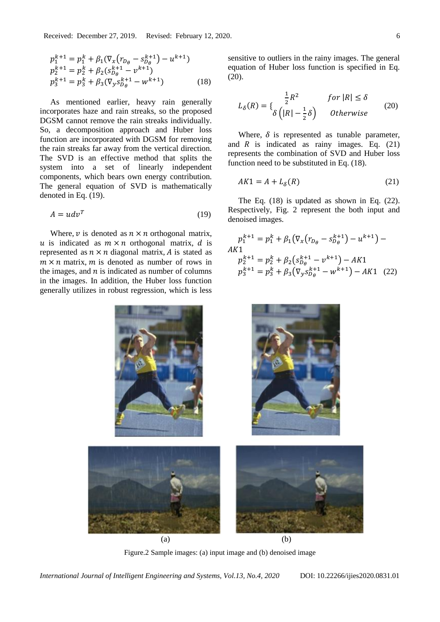$$
p_1^{k+1} = p_1^k + \beta_1 (\nabla_x (r_{D_\theta} - s_{D_\theta}^{k+1}) - u^{k+1})
$$
  
\n
$$
p_2^{k+1} = p_2^k + \beta_2 (s_{D_\theta}^{k+1} - v^{k+1})
$$
  
\n
$$
p_3^{k+1} = p_3^k + \beta_3 (\nabla_y s_{D_\theta}^{k+1} - w^{k+1})
$$
\n(18)

As mentioned earlier, heavy rain generally incorporates haze and rain streaks, so the proposed DGSM cannot remove the rain streaks individually. So, a decomposition approach and Huber loss function are incorporated with DGSM for removing the rain streaks far away from the vertical direction. The SVD is an effective method that splits the system into a set of linearly independent components, which bears own energy contribution. The general equation of SVD is mathematically denoted in Eq. (19).

$$
A = u dv^T \tag{19}
$$

Where,  $\nu$  is denoted as  $n \times n$  orthogonal matrix, u is indicated as  $m \times n$  orthogonal matrix, d is represented as  $n \times n$  diagonal matrix, A is stated as  $m \times n$  matrix, m is denoted as number of rows in the images, and  $n$  is indicated as number of columns in the images. In addition, the Huber loss function generally utilizes in robust regression, which is less sensitive to outliers in the rainy images. The general equation of Huber loss function is specified in Eq. (20).

$$
L_{\delta}(R) = \begin{cases} \frac{1}{2}R^2 & \text{for } |R| \le \delta\\ \delta\left(|R| - \frac{1}{2}\delta\right) & \text{Otherwise} \end{cases}
$$
 (20)

Where,  $\delta$  is represented as tunable parameter, and  $R$  is indicated as rainy images. Eq. (21) represents the combination of SVD and Huber loss function need to be substituted in Eq. (18).

$$
AK1 = A + L_{\delta}(R) \tag{21}
$$

The Eq. (18) is updated as shown in Eq. (22). Respectively, Fig. 2 represent the both input and denoised images.

$$
p_1^{k+1} = p_1^k + \beta_1 (\nabla_x (r_{D_\theta} - s_{D_\theta}^{k+1}) - u^{k+1}) -
$$
  
\n
$$
A K1
$$
  
\n
$$
p_2^{k+1} = p_2^k + \beta_2 (s_{D_\theta}^{k+1} - v^{k+1}) - AK1
$$
  
\n
$$
p_3^{k+1} = p_3^k + \beta_3 (\nabla_y s_{D_\theta}^{k+1} - w^{k+1}) - AK1
$$
 (22)



Figure.2 Sample images: (a) input image and (b) denoised image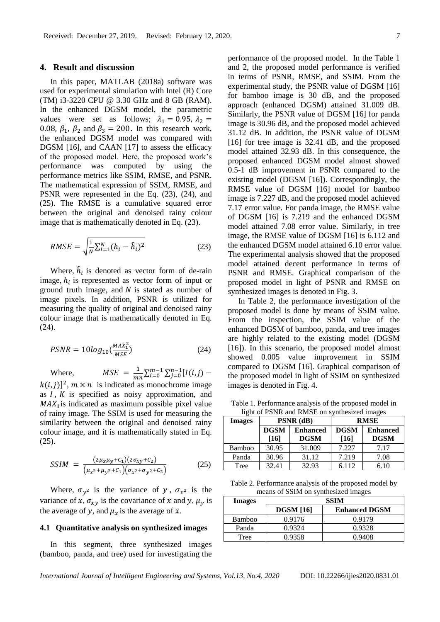### **4. Result and discussion**

In this paper, MATLAB (2018a) software was used for experimental simulation with Intel (R) Core (TM) i3-3220 CPU @ 3.30 GHz and 8 GB (RAM). In the enhanced DGSM model, the parametric values were set as follows;  $\lambda_1 = 0.95$ ,  $\lambda_2 =$ 0.08,  $\beta_1$ ,  $\beta_2$  and  $\beta_3 = 200$ . In this research work, the enhanced DGSM model was compared with DGSM [16], and CAAN [17] to assess the efficacy of the proposed model. Here, the proposed work's performance was computed by using the performance metrics like SSIM, RMSE, and PSNR. The mathematical expression of SSIM, RMSE, and PSNR were represented in the Eq. (23), (24), and (25). The RMSE is a cumulative squared error between the original and denoised rainy colour image that is mathematically denoted in Eq. (23).

$$
RMSE = \sqrt{\frac{1}{N} \sum_{i=1}^{N} (h_i - \hat{h}_i)^2}
$$
 (23)

Where,  $\hat{h}_i$  is denoted as vector form of de-rain image,  $h_i$  is represented as vector form of input or ground truth image, and  $N$  is stated as number of image pixels. In addition, PSNR is utilized for measuring the quality of original and denoised rainy colour image that is mathematically denoted in Eq. (24).

$$
PSNR = 10log_{10} \left( \frac{MAX_1^2}{MSE} \right) \tag{24}
$$

Where,  $MSE = \frac{1}{m}$  $\frac{1}{mn}\sum_{i=0}^{m-1}\sum_{j=0}^{n-1}[I(i,j)$  $k(i, j)]^2$ ,  $m \times n$  is indicated as monochrome image as  $I, K$  is specified as noisy approximation, and  $MAX_1$  is indicated as maximum possible pixel value of rainy image. The SSIM is used for measuring the

similarity between the original and denoised rainy colour image, and it is mathematically stated in Eq. (25).

$$
SSIM = \frac{(2\mu_x \mu_y + C_1)(2\sigma_{xy} + C_2)}{(\mu_{x^2} + \mu_{y^2} + C_1)(\sigma_{x^2} + \sigma_{y^2} + C_2)}
$$
(25)

Where,  $\sigma_{y^2}$  is the variance of y,  $\sigma_{x^2}$  is the variance of x,  $\sigma_{xy}$  is the covariance of x and y,  $\mu_y$  is the average of y, and  $\mu_x$  is the average of x.

## **4.1 Quantitative analysis on synthesized images**

In this segment, three synthesized images (bamboo, panda, and tree) used for investigating the performance of the proposed model. In the Table 1 and 2, the proposed model performance is verified in terms of PSNR, RMSE, and SSIM. From the experimental study, the PSNR value of DGSM [16] for bamboo image is 30 dB, and the proposed approach (enhanced DGSM) attained 31.009 dB. Similarly, the PSNR value of DGSM [16] for panda image is 30.96 dB, and the proposed model achieved 31.12 dB. In addition, the PSNR value of DGSM [16] for tree image is 32.41 dB, and the proposed model attained 32.93 dB. In this consequence, the proposed enhanced DGSM model almost showed 0.5-1 dB improvement in PSNR compared to the existing model (DGSM [16]). Correspondingly, the RMSE value of DGSM [16] model for bamboo image is 7.227 dB, and the proposed model achieved 7.17 error value. For panda image, the RMSE value of DGSM [16] is 7.219 and the enhanced DGSM model attained 7.08 error value. Similarly, in tree image, the RMSE value of DGSM [16] is 6.112 and the enhanced DGSM model attained 6.10 error value. The experimental analysis showed that the proposed model attained decent performance in terms of PSNR and RMSE. Graphical comparison of the proposed model in light of PSNR and RMSE on synthesized images is denoted in Fig. 3.

In Table 2, the performance investigation of the proposed model is done by means of SSIM value. From the inspection, the SSIM value of the enhanced DGSM of bamboo, panda, and tree images are highly related to the existing model (DGSM [16]). In this scenario, the proposed model almost showed 0.005 value improvement in SSIM compared to DGSM [16]. Graphical comparison of the proposed model in light of SSIM on synthesized images is denoted in Fig. 4.

| light of PSNR and RMSE on synthesized images |                     |                                |                     |                                |  |
|----------------------------------------------|---------------------|--------------------------------|---------------------|--------------------------------|--|
| <b>Images</b>                                |                     | PSNR (dB)                      |                     | <b>RMSE</b>                    |  |
|                                              | <b>DGSM</b><br>[16] | <b>Enhanced</b><br><b>DGSM</b> | <b>DGSM</b><br>[16] | <b>Enhanced</b><br><b>DGSM</b> |  |
| <b>Bamboo</b>                                | 30.95               | 31.009                         | 7.227               | 7.17                           |  |
| Panda                                        | 30.96               | 31.12                          | 7.219               | 7.08                           |  |
| Tree                                         | 32.41               | 32.93                          | 6.112               | 6.10                           |  |

Table 1. Performance analysis of the proposed model in light of PSNR and RMSE on synthesized images

| Table 2. Performance analysis of the proposed model by |
|--------------------------------------------------------|
| means of SSIM on synthesized images                    |

| <b>Images</b> | SSIM             |                      |  |  |
|---------------|------------------|----------------------|--|--|
|               | <b>DGSM</b> [16] | <b>Enhanced DGSM</b> |  |  |
| Bamboo        | 0.9176           | 0.9179               |  |  |
| Panda         | 0.9324           | 0.9328               |  |  |
| Tree          | 0.9358           | 0.9408               |  |  |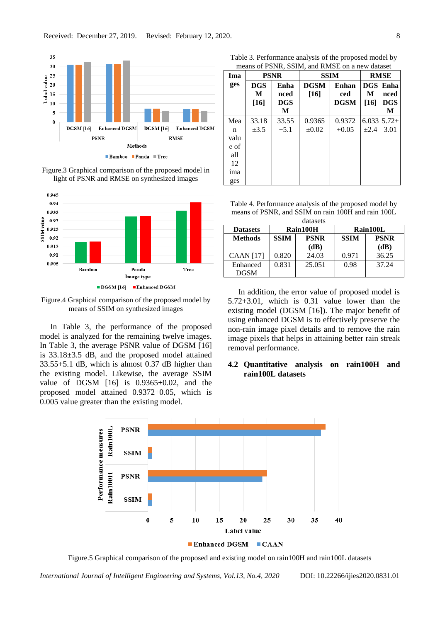

Figure.3 Graphical comparison of the proposed model in light of PSNR and RMSE on synthesized images



Figure.4 Graphical comparison of the proposed model by means of SSIM on synthesized images

In Table 3, the performance of the proposed model is analyzed for the remaining twelve images. In Table 3, the average PSNR value of DGSM [16] is 33.18±3.5 dB, and the proposed model attained 33.55+5.1 dB, which is almost 0.37 dB higher than the existing model. Likewise, the average SSIM value of DGSM  $[16]$  is 0.9365 $\pm$ 0.02, and the proposed model attained 0.9372+0.05, which is 0.005 value greater than the existing model.

Table 3. Performance analysis of the proposed model by means of DCND, CCIM, and DMCE on a new dataset

| means of I SINK, SSHM, and Kinish on a new dataset |                           |                                 |                       |                             |                         |                                 |
|----------------------------------------------------|---------------------------|---------------------------------|-----------------------|-----------------------------|-------------------------|---------------------------------|
| Ima                                                | <b>PSNR</b>               |                                 | <b>SSIM</b>           |                             | <b>RMSE</b>             |                                 |
| ges                                                | <b>DGS</b><br>М<br>$[16]$ | Enha<br>nced<br><b>DGS</b><br>M | <b>DGSM</b><br>$[16]$ | Enhan<br>ced<br><b>DGSM</b> | <b>DGS</b><br>М<br>[16] | Enha<br>nced<br><b>DGS</b><br>M |
| Mea<br>n<br>valu<br>e of<br>all<br>12<br>ima       | 33.18<br>$\pm 3.5$        | 33.55<br>$+5.1$                 | 0.9365<br>$\pm 0.02$  | 0.9372<br>$+0.05$           | $+2.4$                  | $6.033\,5.72+$<br>3.01          |
| ges                                                |                           |                                 |                       |                             |                         |                                 |

Table 4. Performance analysis of the proposed model by means of PSNR, and SSIM on rain 100H and rain 100L

| datasets         |             |             |             |             |  |
|------------------|-------------|-------------|-------------|-------------|--|
| <b>Datasets</b>  | Rain100H    |             | Rain100L    |             |  |
| <b>Methods</b>   | <b>SSIM</b> | <b>PSNR</b> | <b>SSIM</b> | <b>PSNR</b> |  |
|                  |             | (dB)        |             | (dB)        |  |
| <b>CAAN</b> [17] | 0.820       | 24.03       | 0.971       | 36.25       |  |
| Enhanced         | 0.831       | 25.051      | 0.98        | 37.24       |  |
| DGSM             |             |             |             |             |  |

In addition, the error value of proposed model is 5.72+3.01, which is 0.31 value lower than the existing model (DGSM [16]). The major benefit of using enhanced DGSM is to effectively preserve the non-rain image pixel details and to remove the rain image pixels that helps in attaining better rain streak removal performance.

## **4.2 Quantitative analysis on rain100H and rain100L datasets**



Figure.5 Graphical comparison of the proposed and existing model on rain100H and rain100L datasets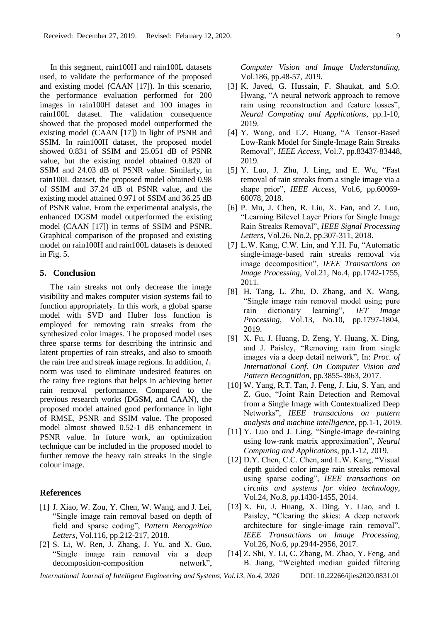In this segment, rain100H and rain100L datasets used, to validate the performance of the proposed and existing model (CAAN [17]). In this scenario, the performance evaluation performed for 200 images in rain100H dataset and 100 images in rain100L dataset. The validation consequence showed that the proposed model outperformed the existing model (CAAN [17]) in light of PSNR and SSIM. In rain100H dataset, the proposed model showed 0.831 of SSIM and 25.051 dB of PSNR value, but the existing model obtained 0.820 of SSIM and 24.03 dB of PSNR value. Similarly, in rain100L dataset, the proposed model obtained 0.98 of SSIM and 37.24 dB of PSNR value, and the existing model attained 0.971 of SSIM and 36.25 dB of PSNR value. From the experimental analysis, the enhanced DGSM model outperformed the existing model (CAAN [17]) in terms of SSIM and PSNR. Graphical comparison of the proposed and existing model on rain100H and rain100L datasets is denoted in Fig. 5.

## **5. Conclusion**

The rain streaks not only decrease the image visibility and makes computer vision systems fail to function appropriately. In this work, a global sparse model with SVD and Huber loss function is employed for removing rain streaks from the synthesized color images. The proposed model uses three sparse terms for describing the intrinsic and latent properties of rain streaks, and also to smooth the rain free and streak image regions. In addition,  $l_1$ norm was used to eliminate undesired features on the rainy free regions that helps in achieving better rain removal performance. Compared to the previous research works (DGSM, and CAAN), the proposed model attained good performance in light of RMSE, PSNR and SSIM value. The proposed model almost showed 0.52-1 dB enhancement in PSNR value. In future work, an optimization technique can be included in the proposed model to further remove the heavy rain streaks in the single colour image.

## **References**

- [1] J. Xiao, W. Zou, Y. Chen, W. Wang, and J. Lei, "Single image rain removal based on depth of field and sparse coding", *Pattern Recognition Letters*, Vol.116, pp.212-217, 2018.
- [2] S. Li, W. Ren, J. Zhang, J. Yu, and X. Guo, "Single image rain removal via a deep decomposition-composition network",

*Computer Vision and Image Understanding*, Vol.186, pp.48-57, 2019.

- [3] K. Javed, G. Hussain, F. Shaukat, and S.O. Hwang, "A neural network approach to remove rain using reconstruction and feature losses", *Neural Computing and Applications*, pp.1-10, 2019.
- [4] Y. Wang, and T.Z. Huang, "A Tensor-Based Low-Rank Model for Single-Image Rain Streaks Removal", *IEEE Access*, Vol.7, pp.83437-83448, 2019.
- [5] Y. Luo, J. Zhu, J. Ling, and E. Wu, "Fast removal of rain streaks from a single image via a shape prior", *IEEE Access*, Vol.6, pp.60069- 60078, 2018.
- [6] P. Mu, J. Chen, R. Liu, X. Fan, and Z. Luo, "Learning Bilevel Layer Priors for Single Image Rain Streaks Removal", *IEEE Signal Processing Letters*, Vol.26, No.2, pp.307-311, 2018.
- [7] L.W. Kang, C.W. Lin, and Y.H. Fu, "Automatic single-image-based rain streaks removal via image decomposition", *IEEE Transactions on Image Processing*, Vol.21, No.4, pp.1742-1755, 2011.
- [8] H. Tang, L. Zhu, D. Zhang, and X. Wang, "Single image rain removal model using pure rain dictionary learning", *IET Image Processing*, Vol.13, No.10, pp.1797-1804, 2019.
- [9] X. Fu, J. Huang, D. Zeng, Y. Huang, X. Ding, and J. Paisley, "Removing rain from single images via a deep detail network", In: *Proc. of International Conf. On Computer Vision and Pattern Recognition*, pp.3855-3863, 2017.
- [10] W. Yang, R.T. Tan, J. Feng, J. Liu, S. Yan, and Z. Guo, "Joint Rain Detection and Removal from a Single Image with Contextualized Deep Networks", *IEEE transactions on pattern analysis and machine intelligence*, pp.1-1, 2019.
- [11] Y. Luo and J. Ling, "Single-image de-raining using low-rank matrix approximation", *Neural Computing and Applications*, pp.1-12, 2019.
- [12] D.Y. Chen, C.C. Chen, and L.W. Kang, "Visual depth guided color image rain streaks removal using sparse coding", *IEEE transactions on circuits and systems for video technology*, Vol.24, No.8, pp.1430-1455, 2014.
- [13] X. Fu, J. Huang, X. Ding, Y. Liao, and J. Paisley, "Clearing the skies: A deep network architecture for single-image rain removal", *IEEE Transactions on Image Processing*, Vol.26, No.6, pp.2944-2956, 2017.
- [14] Z. Shi, Y. Li, C. Zhang, M. Zhao, Y. Feng, and B. Jiang, "Weighted median guided filtering